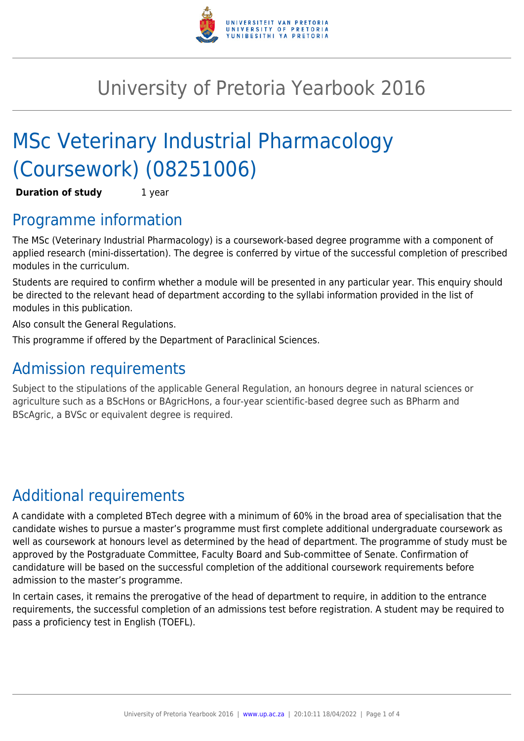

# University of Pretoria Yearbook 2016

# MSc Veterinary Industrial Pharmacology (Coursework) (08251006)

**Duration of study** 1 year

### Programme information

The MSc (Veterinary Industrial Pharmacology) is a coursework-based degree programme with a component of applied research (mini-dissertation). The degree is conferred by virtue of the successful completion of prescribed modules in the curriculum.

Students are required to confirm whether a module will be presented in any particular year. This enquiry should be directed to the relevant head of department according to the syllabi information provided in the list of modules in this publication.

Also consult the General Regulations.

This programme if offered by the Department of Paraclinical Sciences.

### Admission requirements

Subject to the stipulations of the applicable General Regulation, an honours degree in natural sciences or agriculture such as a BScHons or BAgricHons, a four-year scientific-based degree such as BPharm and BScAgric, a BVSc or equivalent degree is required.

## Additional requirements

A candidate with a completed BTech degree with a minimum of 60% in the broad area of specialisation that the candidate wishes to pursue a master's programme must first complete additional undergraduate coursework as well as coursework at honours level as determined by the head of department. The programme of study must be approved by the Postgraduate Committee, Faculty Board and Sub-committee of Senate. Confirmation of candidature will be based on the successful completion of the additional coursework requirements before admission to the master's programme.

In certain cases, it remains the prerogative of the head of department to require, in addition to the entrance requirements, the successful completion of an admissions test before registration. A student may be required to pass a proficiency test in English (TOEFL).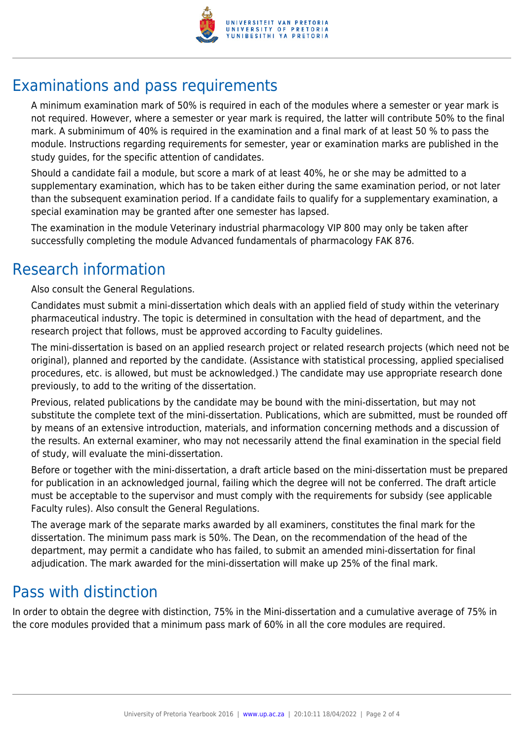

## Examinations and pass requirements

A minimum examination mark of 50% is required in each of the modules where a semester or year mark is not required. However, where a semester or year mark is required, the latter will contribute 50% to the final mark. A subminimum of 40% is required in the examination and a final mark of at least 50 % to pass the module. Instructions regarding requirements for semester, year or examination marks are published in the study guides, for the specific attention of candidates.

Should a candidate fail a module, but score a mark of at least 40%, he or she may be admitted to a supplementary examination, which has to be taken either during the same examination period, or not later than the subsequent examination period. If a candidate fails to qualify for a supplementary examination, a special examination may be granted after one semester has lapsed.

The examination in the module Veterinary industrial pharmacology VIP 800 may only be taken after successfully completing the module Advanced fundamentals of pharmacology FAK 876.

#### Research information

Also consult the General Regulations.

Candidates must submit a mini-dissertation which deals with an applied field of study within the veterinary pharmaceutical industry. The topic is determined in consultation with the head of department, and the research project that follows, must be approved according to Faculty guidelines.

The mini-dissertation is based on an applied research project or related research projects (which need not be original), planned and reported by the candidate. (Assistance with statistical processing, applied specialised procedures, etc. is allowed, but must be acknowledged.) The candidate may use appropriate research done previously, to add to the writing of the dissertation.

Previous, related publications by the candidate may be bound with the mini-dissertation, but may not substitute the complete text of the mini-dissertation. Publications, which are submitted, must be rounded off by means of an extensive introduction, materials, and information concerning methods and a discussion of the results. An external examiner, who may not necessarily attend the final examination in the special field of study, will evaluate the mini-dissertation.

Before or together with the mini-dissertation, a draft article based on the mini-dissertation must be prepared for publication in an acknowledged journal, failing which the degree will not be conferred. The draft article must be acceptable to the supervisor and must comply with the requirements for subsidy (see applicable Faculty rules). Also consult the General Regulations.

The average mark of the separate marks awarded by all examiners, constitutes the final mark for the dissertation. The minimum pass mark is 50%. The Dean, on the recommendation of the head of the department, may permit a candidate who has failed, to submit an amended mini-dissertation for final adjudication. The mark awarded for the mini-dissertation will make up 25% of the final mark.

### Pass with distinction

In order to obtain the degree with distinction, 75% in the Mini-dissertation and a cumulative average of 75% in the core modules provided that a minimum pass mark of 60% in all the core modules are required.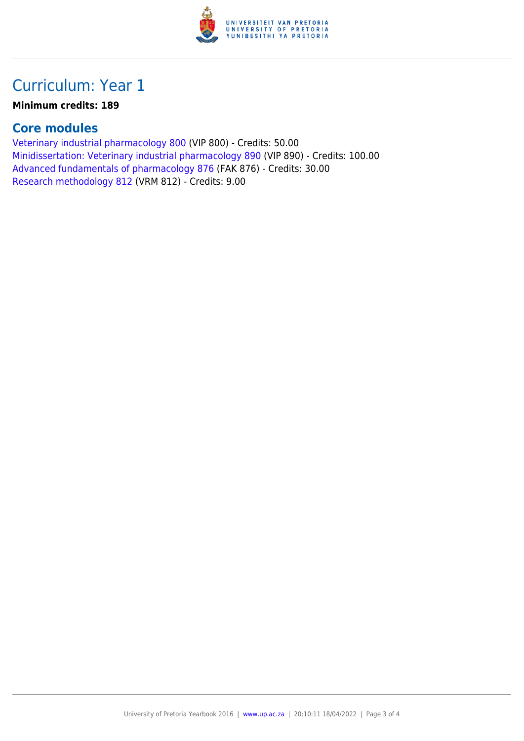

### Curriculum: Year 1

#### **Minimum credits: 189**

#### **Core modules**

[Veterinary industrial pharmacology 800](https://www.up.ac.za/mechanical-and-aeronautical-engineering/yearbooks/2016/modules/view/VIP 800) (VIP 800) - Credits: 50.00 [Minidissertation: Veterinary industrial pharmacology 890](https://www.up.ac.za/mechanical-and-aeronautical-engineering/yearbooks/2016/modules/view/VIP 890) (VIP 890) - Credits: 100.00 [Advanced fundamentals of pharmacology 876](https://www.up.ac.za/mechanical-and-aeronautical-engineering/yearbooks/2016/modules/view/FAK 876) (FAK 876) - Credits: 30.00 [Research methodology 812](https://www.up.ac.za/mechanical-and-aeronautical-engineering/yearbooks/2016/modules/view/VRM 812) (VRM 812) - Credits: 9.00